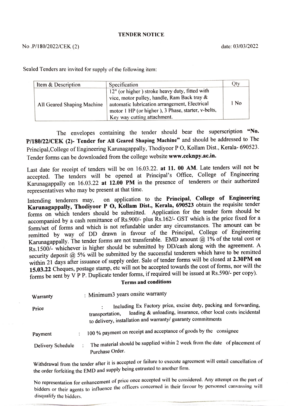## TENDER NOTICE

Sealed Tenders are invited for supply of the following item:

| Item & Description         | Specification                                                                                                                                                                                                                       |      |
|----------------------------|-------------------------------------------------------------------------------------------------------------------------------------------------------------------------------------------------------------------------------------|------|
| All Geared Shaping Machine | 12" (or higher) stroke heavy duty, fitted with<br>vice, motor pulley, handle, Ram Back tray &<br>automatic lubrication arrangement, Electrical<br>motor 1 HP (or higher), 3 Phase, starter, v-belts,<br>Key way cutting attachment. | l No |

The envelopes containing the tender should bear the superscription "No. P/180/22/CEK (2)- Tender for All Geared Shaping Machine" and should be addressed to The Principal,College of Engineering Karunagappally, Thodiyoor P O, Kollam Dist., Kerala- 690523. Tender forms can be downloaded from the college website www.ceknpy.ac.in.

Last date for receipt of tenders will be on 16.03.22. at 11. 00 AM. Late tenders will not be accepted. The tenders will be opened at Principal's Office, College of Engineering Karunagappally on 16.03.22 at 12.00 PM in the presence of tenderers or their authorized representatives who may be present at that time.

Intending tenderers may, on application to the Principal, College of Engineering Karunagappally, Thodiyoor P 0, Kollam Dist., Kerala, 690523 obtain the requisite tender forms on which tenders should be submitted. Application for the tender form should be accompanied by a cash remittance of Rs.900/- plus Rs.162/- GST which is the price fixed fora form/set of forms and which is not refundable under any circumstances. The amount can be remitted by way of DD drawn in favour of the Principal, College of Engineering Karunagappally. The tender forms are not transferable. EMD amount  $@1\%$  of the total cost or Rs.1500/- whichever is higher should be submitted by DD/cash along with the agreement. A security deposit @ 5% will be submitted by the successful tenderers which have to be remitted within 21 days after issuance of supply order. Sale of tender forms will be closed at 2.30PM on 15.03.22 Cheques, postage stamp, etc will not be accepted towards the cost of forms, nor will the forms be sent by V PP. Duplicate tender forms, if required will be issued at Rs.590/- per copy).

## Terms and conditions

| Warranty          | : Minimum3 years onsite warranty                                                                                                                                                                                    |
|-------------------|---------------------------------------------------------------------------------------------------------------------------------------------------------------------------------------------------------------------|
| Price             | Including Ex Factory price, excise duty, packing and forwarding,<br>loading & unloading, insurance, other local costs incidental<br>transportation,<br>to delivery, installation and warranty/ guaranty commitments |
| Payment           | 100 % payment on receipt and acceptance of goods by the consignee<br>$\ddot{\phantom{0}}$                                                                                                                           |
| Delivery Schedule | The material should be supplied within 2 week from the date of placement of<br>$\ddot{\cdot}$<br>Purchase Order.                                                                                                    |

Withdrawal from the tender after it is accepted or failure to execute agreement will entail cancellation of the order forfeiting the EMD and supply being entrusted to another firm.

No representation for enhancement of price once accepted will be considered. Any attempt on the part of bidders or their agents to influence the officers concerned in their favour by personnel canvassing will disqualify the bidders.